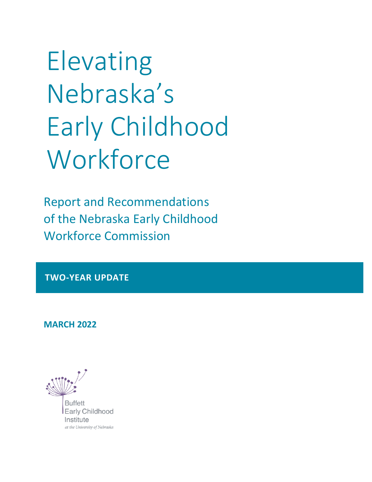Elevating Nebraska's Early Childhood **Workforce** 

Report and Recommendations of the Nebraska Early Childhood Workforce Commission

**TWO-YEAR UPDATE**

**MARCH 2022**

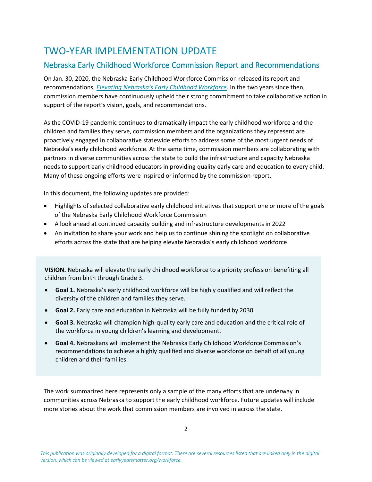## TWO-YEAR IMPLEMENTATION UPDATE

### Nebraska Early Childhood Workforce Commission Report and Recommendations

On Jan. 30, 2020, the Nebraska Early Childhood Workforce Commission released its report and recommendations, *[Elevating Nebraska's Early Childhood Workforce](https://buffettinstitute.nebraska.edu/-/media/beci/docs/workforce-commission-report-pages-final.pdf)*. In the two years since then, commission members have continuously upheld their strong commitment to take collaborative action in support of the report's vision, goals, and recommendations.

As the COVID-19 pandemic continues to dramatically impact the early childhood workforce and the children and families they serve, commission members and the organizations they represent are proactively engaged in collaborative statewide efforts to address some of the most urgent needs of Nebraska's early childhood workforce. At the same time, commission members are collaborating with partners in diverse communities across the state to build the infrastructure and capacity Nebraska needs to support early childhood educators in providing quality early care and education to every child. Many of these ongoing efforts were inspired or informed by the commission report.

In this document, the following updates are provided:

- Highlights of selected collaborative early childhood initiatives that support one or more of the goals of the Nebraska Early Childhood Workforce Commission
- A look ahead at continued capacity building and infrastructure developments in 2022
- An invitation to share your work and help us to continue shining the spotlight on collaborative efforts across the state that are helping elevate Nebraska's early childhood workforce

**VISION.** Nebraska will elevate the early childhood workforce to a priority profession benefiting all children from birth through Grade 3.

- **Goal 1.** Nebraska's early childhood workforce will be highly qualified and will reflect the diversity of the children and families they serve.
- **Goal 2.** Early care and education in Nebraska will be fully funded by 2030.
- **Goal 3.** Nebraska will champion high-quality early care and education and the critical role of the workforce in young children's learning and development.
- **Goal 4.** Nebraskans will implement the Nebraska Early Childhood Workforce Commission's recommendations to achieve a highly qualified and diverse workforce on behalf of all young children and their families.

The work summarized here represents only a sample of the many efforts that are underway in communities across Nebraska to support the early childhood workforce. Future updates will include more stories about the work that commission members are involved in across the state.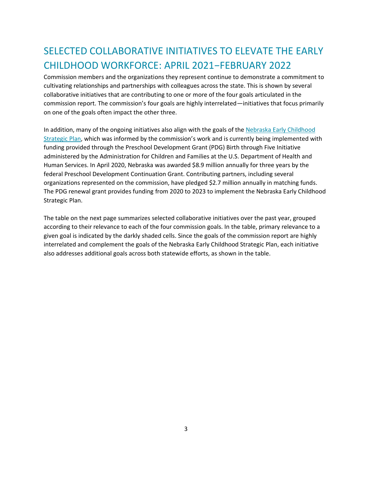# SELECTED COLLABORATIVE INITIATIVES TO ELEVATE THE EARLY CHILDHOOD WORKFORCE: APRIL 2021−FEBRUARY 2022

Commission members and the organizations they represent continue to demonstrate a commitment to cultivating relationships and partnerships with colleagues across the state. This is shown by several collaborative initiatives that are contributing to one or more of the four goals articulated in the commission report. The commission's four goals are highly interrelated—initiatives that focus primarily on one of the goals often impact the other three.

In addition, many of the ongoing initiatives also align with the goals of th[e Nebraska Early Childhood](https://www.nebraskachildren.org/file_download/inline/d2dd1ae8-621b-4615-b026-2dd15fc34357)  [Strategic Plan](https://www.nebraskachildren.org/file_download/inline/d2dd1ae8-621b-4615-b026-2dd15fc34357), which was informed by the commission's work and is currently being implemented with funding provided through the Preschool Development Grant (PDG) Birth through Five Initiative administered by the Administration for Children and Families at the U.S. Department of Health and Human Services. In April 2020, Nebraska was awarded \$8.9 million annually for three years by the federal Preschool Development Continuation Grant. Contributing partners, including several organizations represented on the commission, have pledged \$2.7 million annually in matching funds. The PDG renewal grant provides funding from 2020 to 2023 to implement the Nebraska Early Childhood Strategic Plan.

The table on the next page summarizes selected collaborative initiatives over the past year, grouped according to their relevance to each of the four commission goals. In the table, primary relevance to a given goal is indicated by the darkly shaded cells. Since the goals of the commission report are highly interrelated and complement the goals of the Nebraska Early Childhood Strategic Plan, each initiative also addresses additional goals across both statewide efforts, as shown in the table.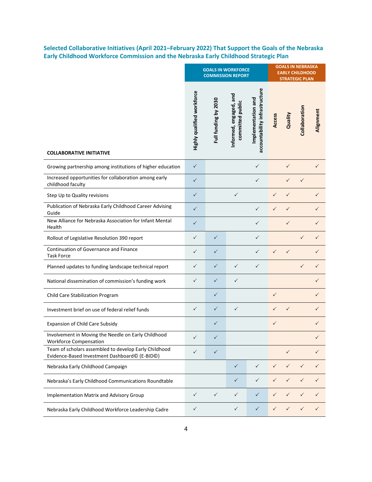**Selected Collaborative Initiatives (April 2021–February 2022) That Support the Goals of the Nebraska Early Childhood Workforce Commission and the Nebraska Early Childhood Strategic Plan**

|                                                                                                        | <b>GOALS IN WORKFORCE</b><br><b>COMMISSION REPORT</b> |                      |                                            |                                                     | <b>GOALS IN NEBRASKA</b><br><b>EARLY CHILDHOOD</b><br><b>STRATEGIC PLAN</b> |              |               |              |
|--------------------------------------------------------------------------------------------------------|-------------------------------------------------------|----------------------|--------------------------------------------|-----------------------------------------------------|-----------------------------------------------------------------------------|--------------|---------------|--------------|
| <b>COLLABORATIVE INITIATIVE</b>                                                                        | Highly qualified workforce                            | Full funding by 2030 | Informed, engaged, and<br>committed public | accountability infrastructure<br>Implementation and | Access                                                                      | Quality      | Collaboration | Alignment    |
| Growing partnership among institutions of higher education                                             | $\checkmark$                                          |                      |                                            | ✓                                                   |                                                                             | ✓            |               | ✓            |
| Increased opportunities for collaboration among early<br>childhood faculty                             | $\checkmark$                                          |                      |                                            | $\checkmark$                                        |                                                                             | ✓            | ✓             |              |
| Step Up to Quality revisions                                                                           | $\checkmark$                                          |                      | $\checkmark$                               |                                                     | $\checkmark$                                                                | $\checkmark$ |               | $\checkmark$ |
| Publication of Nebraska Early Childhood Career Advising<br>Guide                                       | $\checkmark$                                          |                      |                                            | $\checkmark$                                        | $\checkmark$                                                                | $\checkmark$ |               | ✓            |
| New Alliance for Nebraska Association for Infant Mental<br>Health                                      | $\checkmark$                                          |                      |                                            | $\checkmark$                                        |                                                                             | $\checkmark$ |               | $\checkmark$ |
| Rollout of Legislative Resolution 390 report                                                           | $\checkmark$                                          | $\checkmark$         |                                            | $\checkmark$                                        |                                                                             |              | ✓             | $\checkmark$ |
| Continuation of Governance and Finance<br><b>Task Force</b>                                            | $\checkmark$                                          | $\checkmark$         |                                            | $\checkmark$                                        | ✓                                                                           | $\checkmark$ |               | $\checkmark$ |
| Planned updates to funding landscape technical report                                                  | $\checkmark$                                          | $\checkmark$         | $\checkmark$                               | $\checkmark$                                        |                                                                             |              | ✓             | $\checkmark$ |
| National dissemination of commission's funding work                                                    | $\checkmark$                                          | $\checkmark$         | $\checkmark$                               |                                                     |                                                                             |              |               | ✓            |
| Child Care Stabilization Program                                                                       |                                                       | ✓                    |                                            |                                                     | $\checkmark$                                                                |              |               | ✓            |
| Investment brief on use of federal relief funds                                                        | $\checkmark$                                          | $\checkmark$         | $\checkmark$                               |                                                     | ✓                                                                           | ✓            |               | ✓            |
| Expansion of Child Care Subsidy                                                                        |                                                       | $\checkmark$         |                                            |                                                     | $\checkmark$                                                                |              |               | $\checkmark$ |
| Involvement in Moving the Needle on Early Childhood<br><b>Workforce Compensation</b>                   | ✓                                                     | ✓                    |                                            |                                                     |                                                                             |              |               |              |
| Team of scholars assembled to develop Early Childhood<br>Evidence-Based Investment Dashboard© (E-BID©) | $\checkmark$                                          | $\checkmark$         |                                            |                                                     |                                                                             | $\checkmark$ |               | $\checkmark$ |
| Nebraska Early Childhood Campaign                                                                      |                                                       |                      | $\checkmark$                               | $\checkmark$                                        | $\checkmark$                                                                | $\checkmark$ | ✓             | $\checkmark$ |
| Nebraska's Early Childhood Communications Roundtable                                                   |                                                       |                      | $\checkmark$                               | $\checkmark$                                        | $\checkmark$                                                                | $\checkmark$ | $\checkmark$  | $\checkmark$ |
| Implementation Matrix and Advisory Group                                                               | $\checkmark$                                          | $\checkmark$         | $\checkmark$                               | $\checkmark$                                        | $\checkmark$                                                                | ✓            | $\checkmark$  | $\checkmark$ |
| Nebraska Early Childhood Workforce Leadership Cadre                                                    | ✓                                                     |                      | ✓                                          | $\checkmark$                                        | ✓                                                                           |              | $\checkmark$  | $\checkmark$ |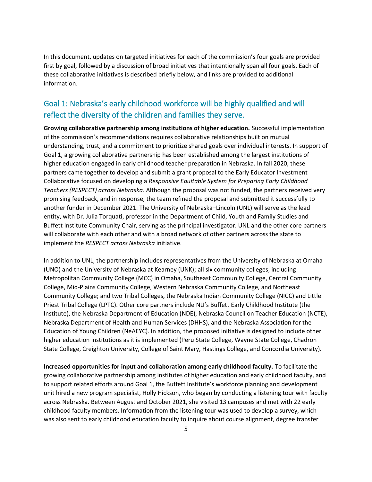In this document, updates on targeted initiatives for each of the commission's four goals are provided first by goal, followed by a discussion of broad initiatives that intentionally span all four goals. Each of these collaborative initiatives is described briefly below, and links are provided to additional information.

### Goal 1: Nebraska's early childhood workforce will be highly qualified and will reflect the diversity of the children and families they serve.

**Growing collaborative partnership among institutions of higher education.** Successful implementation of the commission's recommendations requires collaborative relationships built on mutual understanding, trust, and a commitment to prioritize shared goals over individual interests. In support of Goal 1, a growing collaborative partnership has been established among the largest institutions of higher education engaged in early childhood teacher preparation in Nebraska. In fall 2020, these partners came together to develop and submit a grant proposal to the Early Educator Investment Collaborative focused on developing a *Responsive Equitable System for Preparing Early Childhood Teachers (RESPECT) across Nebraska*. Although the proposal was not funded, the partners received very promising feedback, and in response, the team refined the proposal and submitted it successfully to another funder in December 2021. The University of Nebraska–Lincoln (UNL) will serve as the lead entity, with Dr. Julia Torquati, professor in the Department of Child, Youth and Family Studies and Buffett Institute Community Chair, serving as the principal investigator. UNL and the other core partners will collaborate with each other and with a broad network of other partners across the state to implement the *RESPECT across Nebraska* initiative.

In addition to UNL, the partnership includes representatives from the University of Nebraska at Omaha (UNO) and the University of Nebraska at Kearney (UNK); all six community colleges, including Metropolitan Community College (MCC) in Omaha, Southeast Community College, Central Community College, Mid-Plains Community College, Western Nebraska Community College, and Northeast Community College; and two Tribal Colleges, the Nebraska Indian Community College (NICC) and Little Priest Tribal College (LPTC). Other core partners include NU's Buffett Early Childhood Institute (the Institute), the Nebraska Department of Education (NDE), Nebraska Council on Teacher Education (NCTE), Nebraska Department of Health and Human Services (DHHS), and the Nebraska Association for the Education of Young Children (NeAEYC). In addition, the proposed initiative is designed to include other higher education institutions as it is implemented (Peru State College, Wayne State College, Chadron State College, Creighton University, College of Saint Mary, Hastings College, and Concordia University).

**Increased opportunities for input and collaboration among early childhood faculty.** To facilitate the growing collaborative partnership among institutes of higher education and early childhood faculty, and to support related efforts around Goal 1, the Buffett Institute's workforce planning and development unit hired a new program specialist, Holly Hickson, who began by conducting a listening tour with faculty across Nebraska. Between August and October 2021, she visited 13 campuses and met with 22 early childhood faculty members. Information from the listening tour was used to develop a survey, which was also sent to early childhood education faculty to inquire about course alignment, degree transfer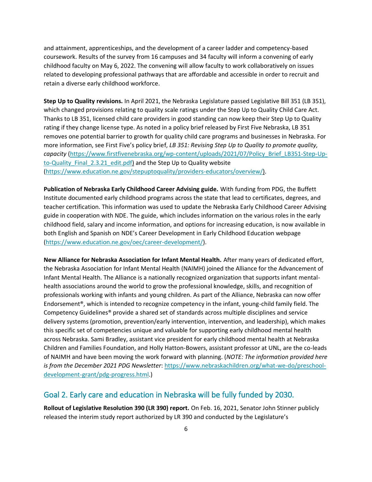and attainment, apprenticeships, and the development of a career ladder and competency-based coursework. Results of the survey from 16 campuses and 34 faculty will inform a convening of early childhood faculty on May 6, 2022. The convening will allow faculty to work collaboratively on issues related to developing professional pathways that are affordable and accessible in order to recruit and retain a diverse early childhood workforce.

**Step Up to Quality revisions.** In April 2021, the Nebraska Legislature passed Legislative Bill 351 (LB 351), which changed provisions relating to quality scale ratings under the Step Up to Quality Child Care Act. Thanks to LB 351, licensed child care providers in good standing can now keep their Step Up to Quality rating if they change license type. As noted in a policy brief released by First Five Nebraska, LB 351 removes one potential barrier to growth for quality child care programs and businesses in Nebraska. For more information, see First Five's policy brief, *LB 351: Revising Step Up to Quality to promote quality, capacity* [\(https://www.firstfivenebraska.org/wp-content/uploads/2021/07/Policy\\_Brief\\_LB351-Step-Up](https://www.firstfivenebraska.org/wp-content/uploads/2021/07/Policy_Brief_LB351-Step-Up-to-Quality_Final_2.3.21_edit.pdf)[to-Quality\\_Final\\_2.3.21\\_edit.pdf\)](https://www.firstfivenebraska.org/wp-content/uploads/2021/07/Policy_Brief_LB351-Step-Up-to-Quality_Final_2.3.21_edit.pdf) and the Step Up to Quality website [\(https://www.education.ne.gov/stepuptoquality/providers-educators/overview/\)](https://www.education.ne.gov/stepuptoquality/providers-educators/overview/).

**Publication of Nebraska Early Childhood Career Advising guide.** With funding from PDG, the Buffett Institute documented early childhood programs across the state that lead to certificates, degrees, and teacher certification. This information was used to update the Nebraska Early Childhood Career Advising guide in cooperation with NDE. The guide, which includes information on the various roles in the early childhood field, salary and income information, and options for increasing education, is now available in both English and Spanish on NDE's Career Development in Early Childhood Education webpage [\(https://www.education.ne.gov/oec/career-development/\)](https://www.education.ne.gov/oec/career-development/).

**New Alliance for Nebraska Association for Infant Mental Health.** After many years of dedicated effort, the Nebraska Association for Infant Mental Health (NAIMH) joined the Alliance for the Advancement of Infant Mental Health. The Alliance is a nationally recognized organization that supports infant mentalhealth associations around the world to grow the professional knowledge, skills, and recognition of professionals working with infants and young children. As part of the Alliance, Nebraska can now offer Endorsement®, which is intended to recognize competency in the infant, young-child family field. The Competency Guidelines® provide a shared set of standards across multiple disciplines and service delivery systems (promotion, prevention/early intervention, intervention, and leadership), which makes this specific set of competencies unique and valuable for supporting early childhood mental health across Nebraska. Sami Bradley, assistant vice president for early childhood mental health at Nebraska Children and Families Foundation, and Holly Hatton-Bowers, assistant professor at UNL, are the co-leads of NAIMH and have been moving the work forward with planning. (*NOTE: The information provided here is from the December 2021 PDG Newsletter*: [https://www.nebraskachildren.org/what-we-do/preschool](https://www.nebraskachildren.org/what-we-do/preschool-development-grant/pdg-progress.html)[development-grant/pdg-progress.html.](https://www.nebraskachildren.org/what-we-do/preschool-development-grant/pdg-progress.html))

#### Goal 2. Early care and education in Nebraska will be fully funded by 2030.

**Rollout of Legislative Resolution 390 (LR 390) report.** On Feb. 16, 2021, Senator John Stinner publicly released the interim study report authorized by LR 390 and conducted by the Legislature's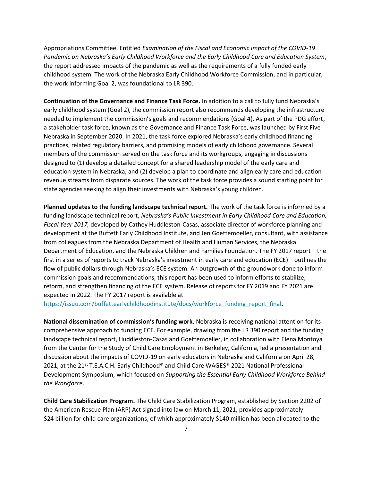Appropriations Committee. Entitled *Examination of the Fiscal and Economic Impact of the COVID-19 Pandemic on Nebraska's Early Childhood Workforce and the Early Childhood Care and Education System*, the report addressed impacts of the pandemic as well as the requirements of a fully funded early childhood system. The work of the Nebraska Early Childhood Workforce Commission, and in particular, the work informing Goal 2, was foundational to LR 390.

**Continuation of the Governance and Finance Task Force.** In addition to a call to fully fund Nebraska's early childhood system (Goal 2), the commission report also recommends developing the infrastructure needed to implement the commission's goals and recommendations (Goal 4). As part of the PDG effort, a stakeholder task force, known as the Governance and Finance Task Force, was launched by First Five Nebraska in September 2020. In 2021, the task force explored Nebraska's early childhood financing practices, related regulatory barriers, and promising models of early childhood governance. Several members of the commission served on the task force and its workgroups, engaging in discussions designed to (1) develop a detailed concept for a shared leadership model of the early care and education system in Nebraska, and (2) develop a plan to coordinate and align early care and education revenue streams from disparate sources. The work of the task force provides a sound starting point for state agencies seeking to align their investments with Nebraska's young children.

**Planned updates to the funding landscape technical report.** The work of the task force is informed by a funding landscape technical report, *Nebraska's Public Investment in Early Childhood Care and Education, Fiscal Year 2017,* developed by Cathey Huddleston-Casas, associate director of workforce planning and development at the Buffett Early Childhood Institute, and Jen Goettemoeller, consultant, with assistance from colleagues from the Nebraska Department of Health and Human Services, the Nebraska Department of Education, and the Nebraska Children and Families Foundation. The FY 2017 report—the first in a series of reports to track Nebraska's investment in early care and education (ECE)—outlines the flow of public dollars through Nebraska's ECE system. An outgrowth of the groundwork done to inform commission goals and recommendations, this report has been used to inform efforts to stabilize, reform, and strengthen financing of the ECE system. Release of reports for FY 2019 and FY 2021 are expected in 2022. The FY 2017 report is available at

[https://issuu.com/buffettearlychildhoodinstitute/docs/workforce\\_funding\\_report\\_final.](https://issuu.com/buffettearlychildhoodinstitute/docs/workforce_funding_report_final)

**National dissemination of commission's funding work.** Nebraska is receiving national attention for its comprehensive approach to funding ECE. For example, drawing from the LR 390 report and the funding landscape technical report, Huddleston-Casas and Goettemoeller, in collaboration with Elena Montoya from the Center for the Study of Child Care Employment in Berkeley, California, led a presentation and discussion about the impacts of COVID-19 on early educators in Nebraska and California on April 28, 2021, at the 21<sup>st</sup> T.E.A.C.H. Early Childhood® and Child Care WAGE\$® 2021 National Professional Development Symposium, which focused on *Supporting the Essential Early Childhood Workforce Behind the Workforce*.

**Child Care Stabilization Program.** The Child Care Stabilization Program, established by Section 2202 of the American Rescue Plan (ARP) Act signed into law on March 11, 2021, provides approximately \$24 billion for child care organizations, of which approximately \$140 million has been allocated to the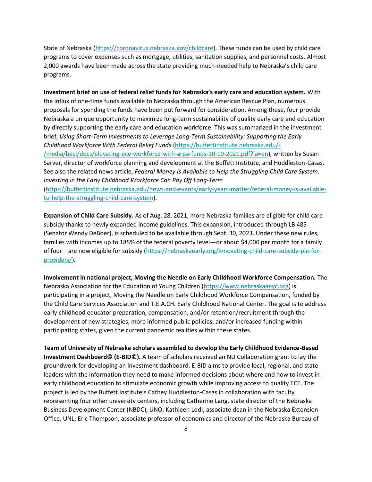State of Nebraska [\(https://coronavirus.nebraska.gov/childcare\)](https://coronavirus.nebraska.gov/childcare). These funds can be used by child care programs to cover expenses such as mortgage, utilities, sanitation supplies, and personnel costs. Almost 2,000 awards have been made across the state providing much-needed help to Nebraska's child care programs.

**Investment brief on use of federal relief funds for Nebraska's early care and education system.** With the influx of one-time funds available to Nebraska through the American Rescue Plan, numerous proposals for spending the funds have been put forward for consideration. Among these, four provide Nebraska a unique opportunity to maximize long-term sustainability of quality early care and education by directly supporting the early care and education workforce. This was summarized in the investment brief, *Using Short-Term Investments to Leverage Long-Term Sustainability: Supporting the Early Childhood Workforce With Federal Relief Funds* [\(https://buffettinstitute.nebraska.edu/-](https://buffettinstitute.nebraska.edu/-/media/beci/docs/elevating-ece-workforce-with-arpa-funds-10-19-2021.pdf?la=en) [/media/beci/docs/elevating-ece-workforce-with-arpa-funds-10-19-2021.pdf?la=en\)](https://buffettinstitute.nebraska.edu/-/media/beci/docs/elevating-ece-workforce-with-arpa-funds-10-19-2021.pdf?la=en), written by Susan Sarver, director of workforce planning and development at the Buffett Institute, and Huddleston-Casas. See also the related news article, *Federal Money Is Available to Help the Struggling Child Care System. Investing in the Early Childhood Workforce Can Pay Off Long-Term* [\(https://buffettinstitute.nebraska.edu/news-and-events/early-years-matter/federal-money-is-available](https://buffettinstitute.nebraska.edu/news-and-events/early-years-matter/federal-money-is-available-to-help-the-struggling-child-care-system)[to-help-the-struggling-child-care-system\)](https://buffettinstitute.nebraska.edu/news-and-events/early-years-matter/federal-money-is-available-to-help-the-struggling-child-care-system).

**Expansion of Child Care Subsidy.** As of Aug. 28, 2021, more Nebraska families are eligible for child care subsidy thanks to newly expanded income guidelines. This expansion, introduced through LB 485 (Senator Wendy DeBoer), is scheduled to be available through Sept. 30, 2023. Under these new rules, families with incomes up to 185% of the federal poverty level—or about \$4,000 per month for a family of four—are now eligible for subsidy [\(https://nebraskaearly.org/innovating-child-care-subsidy-pie-for](https://nebraskaearly.org/innovating-child-care-subsidy-pie-for-providers/)[providers/\)](https://nebraskaearly.org/innovating-child-care-subsidy-pie-for-providers/).

**Involvement in national project, Moving the Needle on Early Childhood Workforce Compensation.** The Nebraska Association for the Education of Young Children [\(https://www.nebraskaaeyc.org\)](http://www.nebraskaaeyc.org/) is participating in a project, Moving the Needle on Early Childhood Workforce Compensation, funded by the Child Care Services Association and T.E.A.CH. Early Childhood National Center. The goal is to address early childhood educator preparation, compensation, and/or retention/recruitment through the development of new strategies, more informed public policies, and/or increased funding within participating states, given the current pandemic realities within these states.

**Team of University of Nebraska scholars assembled to develop the Early Childhood Evidence-Based Investment Dashboard© (E-BID©).** A team of scholars received an NU Collaboration grant to lay the groundwork for developing an investment dashboard. E-BID aims to provide local, regional, and state leaders with the information they need to make informed decisions about where and how to invest in early childhood education to stimulate economic growth while improving access to quality ECE. The project is led by the Buffett Institute's Cathey Huddleston-Casas in collaboration with faculty representing four other university centers, including Catherine Lang, state director of the Nebraska Business Development Center (NBDC), UNO; Kathleen Lodl, associate dean in the Nebraska Extension Office, UNL; Eric Thompson, associate professor of economics and director of the Nebraska Bureau of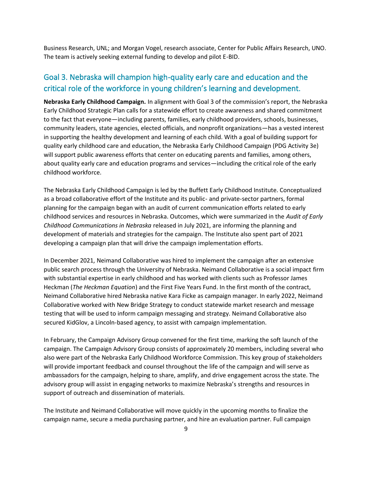Business Research, UNL; and Morgan Vogel, research associate, Center for Public Affairs Research, UNO. The team is actively seeking external funding to develop and pilot E-BID.

### Goal 3. Nebraska will champion high-quality early care and education and the critical role of the workforce in young children's learning and development.

**Nebraska Early Childhood Campaign.** In alignment with Goal 3 of the commission's report, the Nebraska Early Childhood Strategic Plan calls for a statewide effort to create awareness and shared commitment to the fact that everyone—including parents, families, early childhood providers, schools, businesses, community leaders, state agencies, elected officials, and nonprofit organizations—has a vested interest in supporting the healthy development and learning of each child. With a goal of building support for quality early childhood care and education, the Nebraska Early Childhood Campaign (PDG Activity 3e) will support public awareness efforts that center on educating parents and families, among others, about quality early care and education programs and services—including the critical role of the early childhood workforce.

The Nebraska Early Childhood Campaign is led by the Buffett Early Childhood Institute. Conceptualized as a broad collaborative effort of the Institute and its public- and private-sector partners, formal planning for the campaign began with an audit of current communication efforts related to early childhood services and resources in Nebraska. Outcomes, which were summarized in the *Audit of Early Childhood Communications in Nebraska* released in July 2021, are informing the planning and development of materials and strategies for the campaign. The Institute also spent part of 2021 developing a campaign plan that will drive the campaign implementation efforts.

In December 2021, Neimand Collaborative was hired to implement the campaign after an extensive public search process through the University of Nebraska. Neimand Collaborative is a social impact firm with substantial expertise in early childhood and has worked with clients such as Professor James Heckman (*The Heckman Equation*) and the First Five Years Fund. In the first month of the contract, Neimand Collaborative hired Nebraska native Kara Ficke as campaign manager. In early 2022, Neimand Collaborative worked with New Bridge Strategy to conduct statewide market research and message testing that will be used to inform campaign messaging and strategy. Neimand Collaborative also secured KidGlov, a Lincoln-based agency, to assist with campaign implementation.

In February, the Campaign Advisory Group convened for the first time, marking the soft launch of the campaign. The Campaign Advisory Group consists of approximately 20 members, including several who also were part of the Nebraska Early Childhood Workforce Commission. This key group of stakeholders will provide important feedback and counsel throughout the life of the campaign and will serve as ambassadors for the campaign, helping to share, amplify, and drive engagement across the state. The advisory group will assist in engaging networks to maximize Nebraska's strengths and resources in support of outreach and dissemination of materials.

The Institute and Neimand Collaborative will move quickly in the upcoming months to finalize the campaign name, secure a media purchasing partner, and hire an evaluation partner. Full campaign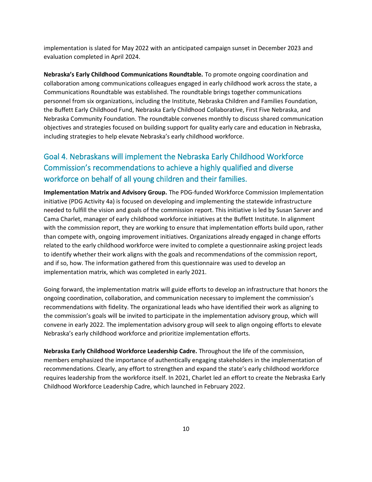implementation is slated for May 2022 with an anticipated campaign sunset in December 2023 and evaluation completed in April 2024.

**Nebraska's Early Childhood Communications Roundtable.** To promote ongoing coordination and collaboration among communications colleagues engaged in early childhood work across the state, a Communications Roundtable was established. The roundtable brings together communications personnel from six organizations, including the Institute, Nebraska Children and Families Foundation, the Buffett Early Childhood Fund, Nebraska Early Childhood Collaborative, First Five Nebraska, and Nebraska Community Foundation. The roundtable convenes monthly to discuss shared communication objectives and strategies focused on building support for quality early care and education in Nebraska, including strategies to help elevate Nebraska's early childhood workforce.

## Goal 4. Nebraskans will implement the Nebraska Early Childhood Workforce Commission's recommendations to achieve a highly qualified and diverse workforce on behalf of all young children and their families.

**Implementation Matrix and Advisory Group.** The PDG-funded Workforce Commission Implementation initiative (PDG Activity 4a) is focused on developing and implementing the statewide infrastructure needed to fulfill the vision and goals of the commission report. This initiative is led by Susan Sarver and Cama Charlet, manager of early childhood workforce initiatives at the Buffett Institute. In alignment with the commission report, they are working to ensure that implementation efforts build upon, rather than compete with, ongoing improvement initiatives. Organizations already engaged in change efforts related to the early childhood workforce were invited to complete a questionnaire asking project leads to identify whether their work aligns with the goals and recommendations of the commission report, and if so, how. The information gathered from this questionnaire was used to develop an implementation matrix, which was completed in early 2021.

Going forward, the implementation matrix will guide efforts to develop an infrastructure that honors the ongoing coordination, collaboration, and communication necessary to implement the commission's recommendations with fidelity. The organizational leads who have identified their work as aligning to the commission's goals will be invited to participate in the implementation advisory group, which will convene in early 2022. The implementation advisory group will seek to align ongoing efforts to elevate Nebraska's early childhood workforce and prioritize implementation efforts.

**Nebraska Early Childhood Workforce Leadership Cadre.** Throughout the life of the commission, members emphasized the importance of authentically engaging stakeholders in the implementation of recommendations. Clearly, any effort to strengthen and expand the state's early childhood workforce requires leadership from the workforce itself. In 2021, Charlet led an effort to create the Nebraska Early Childhood Workforce Leadership Cadre, which launched in February 2022.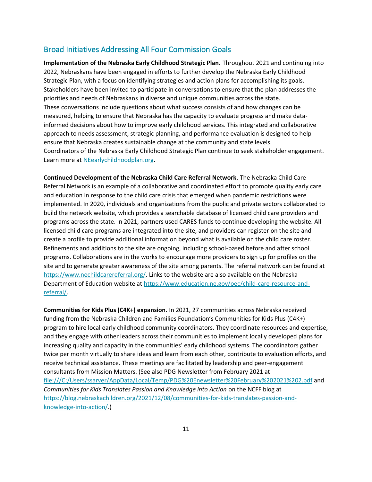#### Broad Initiatives Addressing All Four Commission Goals

**Implementation of the Nebraska Early Childhood Strategic Plan.** Throughout 2021 and continuing into 2022, Nebraskans have been engaged in efforts to further develop the Nebraska Early Childhood Strategic Plan, with a focus on identifying strategies and action plans for accomplishing its goals. Stakeholders have been invited to participate in conversations to ensure that the plan addresses the priorities and needs of Nebraskans in diverse and unique communities across the state. These conversations include questions about what success consists of and how changes can be measured, helping to ensure that Nebraska has the capacity to evaluate progress and make datainformed decisions about how to improve early childhood services. This integrated and collaborative approach to needs assessment, strategic planning, and performance evaluation is designed to help ensure that Nebraska creates sustainable change at the community and state levels. Coordinators of the Nebraska Early Childhood Strategic Plan continue to seek stakeholder engagement. Learn more at [NEearlychildhoodplan.org.](https://www.nebraskachildren.org/what-we-do/preschool-development-grant/strategic-plan.html)

**Continued Development of the Nebraska Child Care Referral Network.** The Nebraska Child Care Referral Network is an example of a collaborative and coordinated effort to promote quality early care and education in response to the child care crisis that emerged when pandemic restrictions were implemented. In 2020, individuals and organizations from the public and private sectors collaborated to build the network website, which provides a searchable database of licensed child care providers and programs across the state. In 2021, partners used CARES funds to continue developing the website. All licensed child care programs are integrated into the site, and providers can register on the site and create a profile to provide additional information beyond what is available on the child care roster. Refinements and additions to the site are ongoing, including school-based before and after school programs. Collaborations are in the works to encourage more providers to sign up for profiles on the site and to generate greater awareness of the site among parents. The referral network can be found at [https://www.nechildcarereferral.org/.](https://www.nechildcarereferral.org/) Links to the website are also available on the Nebraska Department of Education website at [https://www.education.ne.gov/oec/child-care-resource-and](https://www.education.ne.gov/oec/child-care-resource-and-referral/)[referral/.](https://www.education.ne.gov/oec/child-care-resource-and-referral/)

**Communities for Kids Plus (C4K+) expansion.** In 2021, 27 communities across Nebraska received funding from the Nebraska Children and Families Foundation's Communities for Kids Plus (C4K+) program to hire local early childhood community coordinators. They coordinate resources and expertise, and they engage with other leaders across their communities to implement locally developed plans for increasing quality and capacity in the communities' early childhood systems. The coordinators gather twice per month virtually to share ideas and learn from each other, contribute to evaluation efforts, and receive technical assistance. These meetings are facilitated by leadership and peer-engagement consultants from Mission Matters. (See also PDG Newsletter from February 2021 at <file:///C:/Users/ssarver/AppData/Local/Temp/PDG%20Enewsletter%20February%202021%202.pdf> and *Communities for Kids Translates Passion and Knowledge into Action* on the NCFF blog at [https://blog.nebraskachildren.org/2021/12/08/communities-for-kids-translates-passion-and](https://blog.nebraskachildren.org/2021/12/08/communities-for-kids-translates-passion-and-knowledge-into-action/)[knowledge-into-action/.](https://blog.nebraskachildren.org/2021/12/08/communities-for-kids-translates-passion-and-knowledge-into-action/))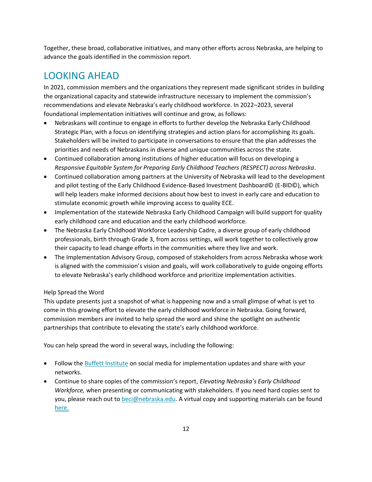Together, these broad, collaborative initiatives, and many other efforts across Nebraska, are helping to advance the goals identified in the commission report.

## LOOKING AHEAD

In 2021, commission members and the organizations they represent made significant strides in building the organizational capacity and statewide infrastructure necessary to implement the commission's recommendations and elevate Nebraska's early childhood workforce. In 2022–2023, several foundational implementation initiatives will continue and grow, as follows:

- Nebraskans will continue to engage in efforts to further develop the Nebraska Early Childhood Strategic Plan, with a focus on identifying strategies and action plans for accomplishing its goals. Stakeholders will be invited to participate in conversations to ensure that the plan addresses the priorities and needs of Nebraskans in diverse and unique communities across the state.
- Continued collaboration among institutions of higher education will focus on developing a *Responsive Equitable System for Preparing Early Childhood Teachers (RESPECT) across Nebraska*.
- Continued collaboration among partners at the University of Nebraska will lead to the development and pilot testing of the Early Childhood Evidence-Based Investment Dashboard© (E-BID©), which will help leaders make informed decisions about how best to invest in early care and education to stimulate economic growth while improving access to quality ECE.
- Implementation of the statewide Nebraska Early Childhood Campaign will build support for quality early childhood care and education and the early childhood workforce.
- The Nebraska Early Childhood Workforce Leadership Cadre, a diverse group of early childhood professionals, birth through Grade 3, from across settings, will work together to collectively grow their capacity to lead change efforts in the communities where they live and work.
- The Implementation Advisory Group, composed of stakeholders from across Nebraska whose work is aligned with the commission's vision and goals, will work collaboratively to guide ongoing efforts to elevate Nebraska's early childhood workforce and prioritize implementation activities.

#### Help Spread the Word

This update presents just a snapshot of what is happening now and a small glimpse of what is yet to come in this growing effort to elevate the early childhood workforce in Nebraska. Going forward, commission members are invited to help spread the word and shine the spotlight on authentic partnerships that contribute to elevating the state's early childhood workforce.

You can help spread the word in several ways, including the following:

- Follow the [Buffett Institute](https://buffettinstitute.nebraska.edu/news-and-events) on social media for implementation updates and share with your networks.
- Continue to share copies of the commission's report, *Elevating Nebraska's Early Childhood Workforce,* when presenting or communicating with stakeholders. If you need hard copies sent to you, please reach out to [beci@nebraska.edu.](mailto:beci@nebraska.edu) A virtual copy and supporting materials can be found [here.](https://buffettinstitute.nebraska.edu/our-work/early-childhood-workforce-commission)